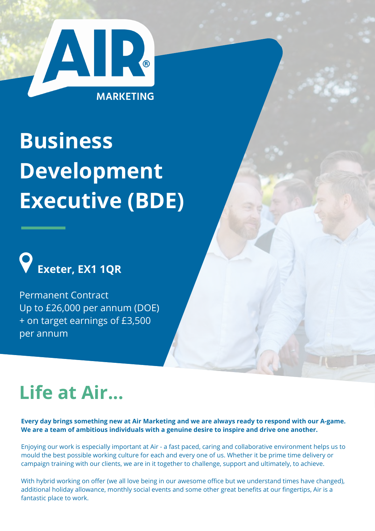

# **Business Development Executive (BDE)**



Permanent Contract Up to £26,000 per annum (DOE) + on target earnings of £3,500 per annum

# **Life at Air...**

Every day brings something new at Air Marketing and we are always ready to respond with our A-game. **We are a team of ambitious individuals with a genuine desire to inspire and drive one another.**

Enjoying our work is especially important at Air - a fast paced, caring and collaborative environment helps us to mould the best possible working culture for each and every one of us. Whether it be prime time delivery or campaign training with our clients, we are in it together to challenge, support and ultimately, to achieve.

With hybrid working on offer (we all love being in our awesome office but we understand times have changed), additional holiday allowance, monthly social events and some other great benefits at our fingertips, Air is a fantastic place to work.